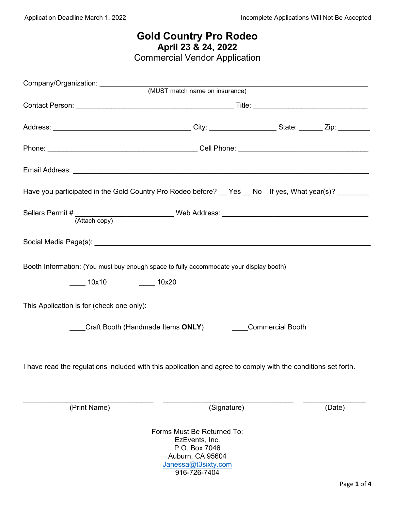# **Gold Country Pro Rodeo April 23 & 24, 2022**

Commercial Vendor Application

|                                                                                                               |                                                                                   | <u> 1989 - Johann John Stein, market fan it ferskeart fan it ferskeart fan it ferskeart fan it ferskeart fan it f</u> |        |
|---------------------------------------------------------------------------------------------------------------|-----------------------------------------------------------------------------------|-----------------------------------------------------------------------------------------------------------------------|--------|
|                                                                                                               |                                                                                   |                                                                                                                       |        |
|                                                                                                               |                                                                                   |                                                                                                                       |        |
|                                                                                                               |                                                                                   |                                                                                                                       |        |
|                                                                                                               |                                                                                   |                                                                                                                       |        |
|                                                                                                               |                                                                                   |                                                                                                                       |        |
| Have you participated in the Gold Country Pro Rodeo before? __ Yes __ No lf yes, What year(s)? _______        |                                                                                   |                                                                                                                       |        |
|                                                                                                               |                                                                                   |                                                                                                                       |        |
|                                                                                                               |                                                                                   |                                                                                                                       |        |
| Booth Information: (You must buy enough space to fully accommodate your display booth)                        |                                                                                   |                                                                                                                       |        |
| _____ 10x10     _____ 10x20                                                                                   |                                                                                   |                                                                                                                       |        |
| This Application is for (check one only):                                                                     |                                                                                   |                                                                                                                       |        |
| Craft Booth (Handmade Items ONLY) Commercial Booth                                                            |                                                                                   |                                                                                                                       |        |
| I have read the regulations included with this application and agree to comply with the conditions set forth. |                                                                                   |                                                                                                                       |        |
| (Print Name)                                                                                                  | (Signature)                                                                       |                                                                                                                       | (Date) |
|                                                                                                               | Forms Must Be Returned To:<br>EzEvents, Inc.<br>P.O. Box 7046<br>Auburn, CA 95604 |                                                                                                                       |        |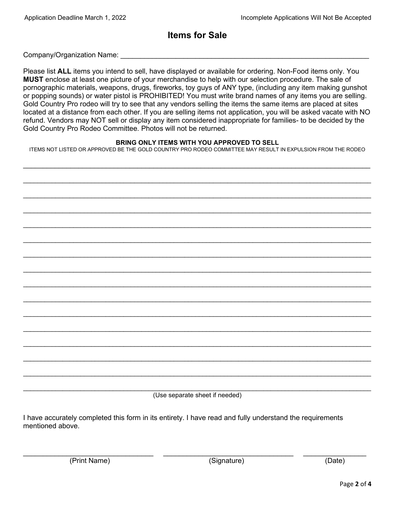## **Items for Sale**

Company/Organization Name: \_\_\_\_\_\_\_\_\_\_\_\_\_\_\_\_\_\_\_\_\_\_\_\_\_\_\_\_\_\_\_\_\_\_\_\_\_\_\_\_\_\_\_\_\_\_\_\_\_\_\_\_\_\_\_\_\_\_\_\_\_\_\_

Please list **ALL** items you intend to sell, have displayed or available for ordering. Non-Food items only. You **MUST** enclose at least one picture of your merchandise to help with our selection procedure. The sale of pornographic materials, weapons, drugs, fireworks, toy guys of ANY type, (including any item making gunshot or popping sounds) or water pistol is PROHIBITED! You must write brand names of any items you are selling. Gold Country Pro rodeo will try to see that any vendors selling the items the same items are placed at sites located at a distance from each other. If you are selling items not application, you will be asked vacate with NO refund. Vendors may NOT sell or display any item considered inappropriate for families- to be decided by the Gold Country Pro Rodeo Committee. Photos will not be returned.

#### **BRING ONLY ITEMS WITH YOU APPROVED TO SELL**

ITEMS NOT LISTED OR APPROVED BE THE GOLD COUNTRY PRO RODEO COMMITTEE MAY RESULT IN EXPULSION FROM THE RODEO

 $\_$  , and the set of the set of the set of the set of the set of the set of the set of the set of the set of the set of the set of the set of the set of the set of the set of the set of the set of the set of the set of th

\_\_\_\_\_\_\_\_\_\_\_\_\_\_\_\_\_\_\_\_\_\_\_\_\_\_\_\_\_\_\_\_\_\_\_\_\_\_\_\_\_\_\_\_\_\_\_\_\_\_\_\_\_\_\_\_\_\_\_\_\_\_\_\_\_\_\_\_\_\_\_\_\_\_\_\_\_\_\_\_\_\_\_\_\_\_\_\_\_\_\_\_\_\_\_\_\_

\_\_\_\_\_\_\_\_\_\_\_\_\_\_\_\_\_\_\_\_\_\_\_\_\_\_\_\_\_\_\_\_\_\_\_\_\_\_\_\_\_\_\_\_\_\_\_\_\_\_\_\_\_\_\_\_\_\_\_\_\_\_\_\_\_\_\_\_\_\_\_\_\_\_\_\_\_\_\_\_\_\_\_\_\_\_\_\_\_\_\_\_\_\_\_\_\_

\_\_\_\_\_\_\_\_\_\_\_\_\_\_\_\_\_\_\_\_\_\_\_\_\_\_\_\_\_\_\_\_\_\_\_\_\_\_\_\_\_\_\_\_\_\_\_\_\_\_\_\_\_\_\_\_\_\_\_\_\_\_\_\_\_\_\_\_\_\_\_\_\_\_\_\_\_\_\_\_\_\_\_\_\_\_\_\_\_\_\_\_\_\_\_\_\_

\_\_\_\_\_\_\_\_\_\_\_\_\_\_\_\_\_\_\_\_\_\_\_\_\_\_\_\_\_\_\_\_\_\_\_\_\_\_\_\_\_\_\_\_\_\_\_\_\_\_\_\_\_\_\_\_\_\_\_\_\_\_\_\_\_\_\_\_\_\_\_\_\_\_\_\_\_\_\_\_\_\_\_\_\_\_\_\_\_\_\_\_\_\_\_\_\_

\_\_\_\_\_\_\_\_\_\_\_\_\_\_\_\_\_\_\_\_\_\_\_\_\_\_\_\_\_\_\_\_\_\_\_\_\_\_\_\_\_\_\_\_\_\_\_\_\_\_\_\_\_\_\_\_\_\_\_\_\_\_\_\_\_\_\_\_\_\_\_\_\_\_\_\_\_\_\_\_\_\_\_\_\_\_\_\_\_\_\_\_\_\_\_\_\_

\_\_\_\_\_\_\_\_\_\_\_\_\_\_\_\_\_\_\_\_\_\_\_\_\_\_\_\_\_\_\_\_\_\_\_\_\_\_\_\_\_\_\_\_\_\_\_\_\_\_\_\_\_\_\_\_\_\_\_\_\_\_\_\_\_\_\_\_\_\_\_\_\_\_\_\_\_\_\_\_\_\_\_\_\_\_\_\_\_\_\_\_\_\_\_\_\_

\_\_\_\_\_\_\_\_\_\_\_\_\_\_\_\_\_\_\_\_\_\_\_\_\_\_\_\_\_\_\_\_\_\_\_\_\_\_\_\_\_\_\_\_\_\_\_\_\_\_\_\_\_\_\_\_\_\_\_\_\_\_\_\_\_\_\_\_\_\_\_\_\_\_\_\_\_\_\_\_\_\_\_\_\_\_\_\_\_\_\_\_\_\_\_\_\_

\_\_\_\_\_\_\_\_\_\_\_\_\_\_\_\_\_\_\_\_\_\_\_\_\_\_\_\_\_\_\_\_\_\_\_\_\_\_\_\_\_\_\_\_\_\_\_\_\_\_\_\_\_\_\_\_\_\_\_\_\_\_\_\_\_\_\_\_\_\_\_\_\_\_\_\_\_\_\_\_\_\_\_\_\_\_\_\_\_\_\_\_\_\_\_\_\_

\_\_\_\_\_\_\_\_\_\_\_\_\_\_\_\_\_\_\_\_\_\_\_\_\_\_\_\_\_\_\_\_\_\_\_\_\_\_\_\_\_\_\_\_\_\_\_\_\_\_\_\_\_\_\_\_\_\_\_\_\_\_\_\_\_\_\_\_\_\_\_\_\_\_\_\_\_\_\_\_\_\_\_\_\_\_\_\_\_\_\_\_\_\_\_\_\_

\_\_\_\_\_\_\_\_\_\_\_\_\_\_\_\_\_\_\_\_\_\_\_\_\_\_\_\_\_\_\_\_\_\_\_\_\_\_\_\_\_\_\_\_\_\_\_\_\_\_\_\_\_\_\_\_\_\_\_\_\_\_\_\_\_\_\_\_\_\_\_\_\_\_\_\_\_\_\_\_\_\_\_\_\_\_\_\_\_\_\_\_\_\_\_\_\_

 $\mathcal{L}_\mathcal{L} = \{ \mathcal{L}_\mathcal{L} = \{ \mathcal{L}_\mathcal{L} = \{ \mathcal{L}_\mathcal{L} = \{ \mathcal{L}_\mathcal{L} = \{ \mathcal{L}_\mathcal{L} = \{ \mathcal{L}_\mathcal{L} = \{ \mathcal{L}_\mathcal{L} = \{ \mathcal{L}_\mathcal{L} = \{ \mathcal{L}_\mathcal{L} = \{ \mathcal{L}_\mathcal{L} = \{ \mathcal{L}_\mathcal{L} = \{ \mathcal{L}_\mathcal{L} = \{ \mathcal{L}_\mathcal{L} = \{ \mathcal{L}_\mathcal{$ 

\_\_\_\_\_\_\_\_\_\_\_\_\_\_\_\_\_\_\_\_\_\_\_\_\_\_\_\_\_\_\_\_\_\_\_\_\_\_\_\_\_\_\_\_\_\_\_\_\_\_\_\_\_\_\_\_\_\_\_\_\_\_\_\_\_\_\_\_\_\_\_\_\_\_\_\_\_\_\_\_\_\_\_\_\_\_\_\_\_\_\_\_\_\_\_\_\_

\_\_\_\_\_\_\_\_\_\_\_\_\_\_\_\_\_\_\_\_\_\_\_\_\_\_\_\_\_\_\_\_\_\_\_\_\_\_\_\_\_\_\_\_\_\_\_\_\_\_\_\_\_\_\_\_\_\_\_\_\_\_\_\_\_\_\_\_\_\_\_\_\_\_\_\_\_\_\_\_\_\_\_\_\_\_\_\_\_\_\_\_\_\_\_\_\_

\_\_\_\_\_\_\_\_\_\_\_\_\_\_\_\_\_\_\_\_\_\_\_\_\_\_\_\_\_\_\_\_\_\_\_\_\_\_\_\_\_\_\_\_\_\_\_\_\_\_\_\_\_\_\_\_\_\_\_\_\_\_\_\_\_\_\_\_\_\_\_\_\_\_\_\_\_\_\_\_\_\_\_\_\_\_\_\_\_\_\_\_\_\_\_\_\_

\_\_\_\_\_\_\_\_\_\_\_\_\_\_\_\_\_\_\_\_\_\_\_\_\_\_\_\_\_\_\_\_\_\_\_\_\_\_\_\_\_\_\_\_\_\_\_\_\_\_\_\_\_\_\_\_\_\_\_\_\_\_\_\_\_\_\_\_\_\_\_\_\_\_\_\_\_\_\_\_\_\_\_\_\_\_\_\_\_\_\_\_\_\_\_\_\_ (Use separate sheet if needed)

I have accurately completed this form in its entirety. I have read and fully understand the requirements mentioned above.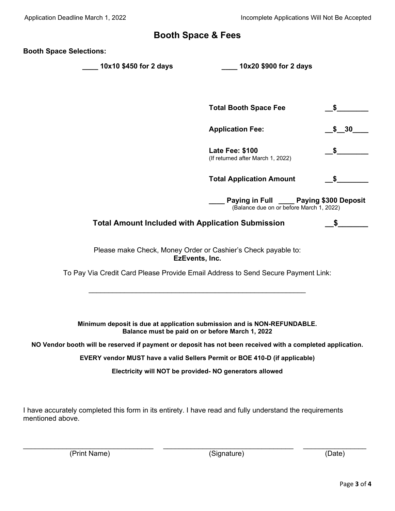### **Booth Space & Fees**

**Booth Space Selections:**

**\_\_\_\_ 10x10 \$450 for 2 days \_\_\_\_ 10x20 \$900 for 2 days**

|                                                          | <b>Total Booth Space Fee</b>                                                           |                    |
|----------------------------------------------------------|----------------------------------------------------------------------------------------|--------------------|
|                                                          | <b>Application Fee:</b>                                                                | $\frac{\$}{\$}$ 30 |
|                                                          | <b>Late Fee: \$100</b><br>(If returned after March 1, 2022)                            | SS S               |
|                                                          | <b>Total Application Amount</b>                                                        | <b>\$</b>          |
|                                                          | Paying in Full ______ Paying \$300 Deposit<br>(Balance due on or before March 1, 2022) |                    |
| <b>Total Amount Included with Application Submission</b> |                                                                                        |                    |

Please make Check, Money Order or Cashier's Check payable to: **EzEvents, Inc.**

To Pay Via Credit Card Please Provide Email Address to Send Secure Payment Link:

 $\frac{1}{2}$  ,  $\frac{1}{2}$  ,  $\frac{1}{2}$  ,  $\frac{1}{2}$  ,  $\frac{1}{2}$  ,  $\frac{1}{2}$  ,  $\frac{1}{2}$  ,  $\frac{1}{2}$  ,  $\frac{1}{2}$  ,  $\frac{1}{2}$  ,  $\frac{1}{2}$  ,  $\frac{1}{2}$  ,  $\frac{1}{2}$  ,  $\frac{1}{2}$  ,  $\frac{1}{2}$  ,  $\frac{1}{2}$  ,  $\frac{1}{2}$  ,  $\frac{1}{2}$  ,  $\frac{1$ 

**Minimum deposit is due at application submission and is NON-REFUNDABLE. Balance must be paid on or before March 1, 2022**

**NO Vendor booth will be reserved if payment or deposit has not been received with a completed application.**

**EVERY vendor MUST have a valid Sellers Permit or BOE 410-D (if applicable)**

**Electricity will NOT be provided- NO generators allowed**

I have accurately completed this form in its entirety. I have read and fully understand the requirements mentioned above.

\_\_\_\_\_\_\_\_\_\_\_\_\_\_\_\_\_\_\_\_\_\_\_\_\_\_\_\_\_\_\_\_\_ \_\_\_\_\_\_\_\_\_\_\_\_\_\_\_\_\_\_\_\_\_\_\_\_\_\_\_\_\_\_\_\_\_ \_\_\_\_\_\_\_\_\_\_\_\_\_\_\_\_ (Print Name) (Signature) (Date)